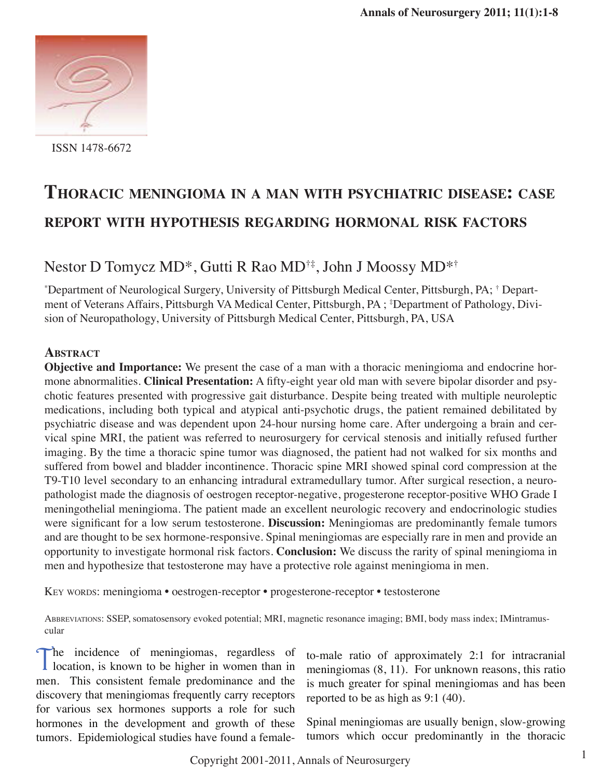

ISSN 1478-6672

# **Thoracic meningioma in <sup>a</sup> man with psychiatric disease: case report with hypothesis regarding hormonal risk factors**

# Nestor D Tomycz MD\*, Gutti R Rao MD†‡, John J Moossy MD\*†

\* Department of Neurological Surgery, University of Pittsburgh Medical Center, Pittsburgh, PA; † Department of Veterans Affairs, Pittsburgh VA Medical Center, Pittsburgh, PA ; ‡ Department of Pathology, Division of Neuropathology, University of Pittsburgh Medical Center, Pittsburgh, PA, USA

# **Abstract**

**Objective and Importance:** We present the case of a man with a thoracic meningioma and endocrine hormone abnormalities. **Clinical Presentation:** A fifty-eight year old man with severe bipolar disorder and psychotic features presented with progressive gait disturbance. Despite being treated with multiple neuroleptic medications, including both typical and atypical anti-psychotic drugs, the patient remained debilitated by psychiatric disease and was dependent upon 24-hour nursing home care. After undergoing a brain and cervical spine MRI, the patient was referred to neurosurgery for cervical stenosis and initially refused further imaging. By the time a thoracic spine tumor was diagnosed, the patient had not walked for six months and suffered from bowel and bladder incontinence. Thoracic spine MRI showed spinal cord compression at the T9-T10 level secondary to an enhancing intradural extramedullary tumor. After surgical resection, a neuropathologist made the diagnosis of oestrogen receptor-negative, progesterone receptor-positive WHO Grade I meningothelial meningioma. The patient made an excellent neurologic recovery and endocrinologic studies were significant for a low serum testosterone. **Discussion:** Meningiomas are predominantly female tumors and are thought to be sex hormone-responsive. Spinal meningiomas are especially rare in men and provide an opportunity to investigate hormonal risk factors. **Conclusion:** We discuss the rarity of spinal meningioma in men and hypothesize that testosterone may have a protective role against meningioma in men.

Key words: meningioma • oestrogen-receptor • progesterone-receptor • testosterone

Abbreviations: SSEP, somatosensory evoked potential; MRI, magnetic resonance imaging; BMI, body mass index; IMintramuscular

The incidence of meningiomas, regardless of location, is known to be higher in women than in men. This consistent female predominance and the discovery that meningiomas frequently carry receptors for various sex hormones supports a role for such hormones in the development and growth of these tumors. Epidemiological studies have found a female-

to-male ratio of approximately 2:1 for intracranial meningiomas (8, 11). For unknown reasons, this ratio is much greater for spinal meningiomas and has been reported to be as high as 9:1 (40).

Spinal meningiomas are usually benign, slow-growing tumors which occur predominantly in the thoracic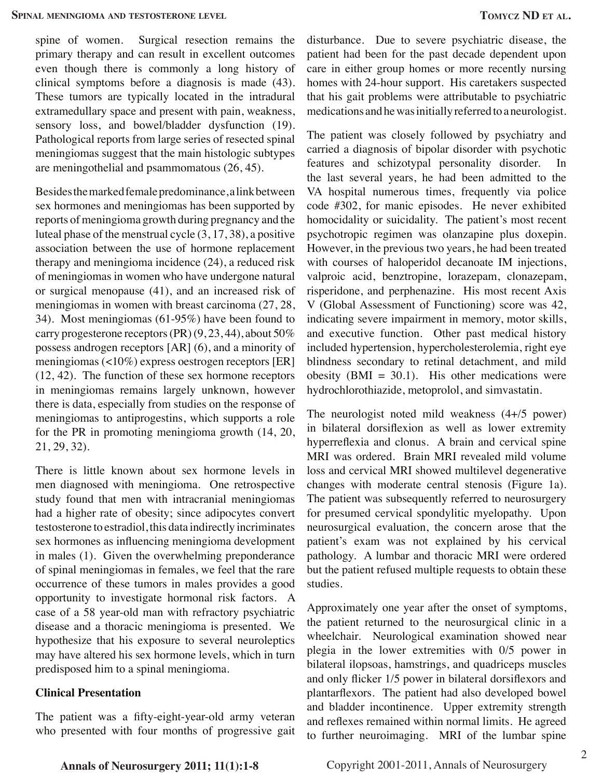spine of women. Surgical resection remains the primary therapy and can result in excellent outcomes even though there is commonly a long history of clinical symptoms before a diagnosis is made (43). These tumors are typically located in the intradural extramedullary space and present with pain, weakness, sensory loss, and bowel/bladder dysfunction (19). Pathological reports from large series of resected spinal meningiomas suggest that the main histologic subtypes are meningothelial and psammomatous (26, 45).

Besides the marked female predominance, a link between sex hormones and meningiomas has been supported by reports of meningioma growth during pregnancy and the luteal phase of the menstrual cycle (3, 17, 38), a positive association between the use of hormone replacement therapy and meningioma incidence (24), a reduced risk of meningiomas in women who have undergone natural or surgical menopause (41), and an increased risk of meningiomas in women with breast carcinoma (27, 28, 34). Most meningiomas (61-95%) have been found to carry progesterone receptors  $(\text{PR}) (9, 23, 44)$ , about 50% possess androgen receptors [AR] (6), and a minority of meningiomas (<10%) express oestrogen receptors [ER] (12, 42). The function of these sex hormone receptors in meningiomas remains largely unknown, however there is data, especially from studies on the response of meningiomas to antiprogestins, which supports a role for the PR in promoting meningioma growth (14, 20, 21, 29, 32).

There is little known about sex hormone levels in men diagnosed with meningioma. One retrospective study found that men with intracranial meningiomas had a higher rate of obesity; since adipocytes convert testosterone to estradiol, this data indirectly incriminates sex hormones as influencing meningioma development in males (1). Given the overwhelming preponderance of spinal meningiomas in females, we feel that the rare occurrence of these tumors in males provides a good opportunity to investigate hormonal risk factors. A case of a 58 year-old man with refractory psychiatric disease and a thoracic meningioma is presented. We hypothesize that his exposure to several neuroleptics may have altered his sex hormone levels, which in turn predisposed him to a spinal meningioma.

## **Clinical Presentation**

The patient was a fifty-eight-year-old army veteran who presented with four months of progressive gait disturbance. Due to severe psychiatric disease, the patient had been for the past decade dependent upon care in either group homes or more recently nursing homes with 24-hour support. His caretakers suspected that his gait problems were attributable to psychiatric medications and he was initially referred to a neurologist.

The patient was closely followed by psychiatry and carried a diagnosis of bipolar disorder with psychotic features and schizotypal personality disorder. In the last several years, he had been admitted to the VA hospital numerous times, frequently via police code #302, for manic episodes. He never exhibited homocidality or suicidality. The patient's most recent psychotropic regimen was olanzapine plus doxepin. However, in the previous two years, he had been treated with courses of haloperidol decanoate IM injections, valproic acid, benztropine, lorazepam, clonazepam, risperidone, and perphenazine. His most recent Axis V (Global Assessment of Functioning) score was 42, indicating severe impairment in memory, motor skills, and executive function. Other past medical history included hypertension, hypercholesterolemia, right eye blindness secondary to retinal detachment, and mild obesity (BMI =  $30.1$ ). His other medications were hydrochlorothiazide, metoprolol, and simvastatin.

The neurologist noted mild weakness (4+/5 power) in bilateral dorsiflexion as well as lower extremity hyperreflexia and clonus. A brain and cervical spine MRI was ordered. Brain MRI revealed mild volume loss and cervical MRI showed multilevel degenerative changes with moderate central stenosis (Figure 1a). The patient was subsequently referred to neurosurgery for presumed cervical spondylitic myelopathy. Upon neurosurgical evaluation, the concern arose that the patient's exam was not explained by his cervical pathology. A lumbar and thoracic MRI were ordered but the patient refused multiple requests to obtain these studies.

Approximately one year after the onset of symptoms, the patient returned to the neurosurgical clinic in a wheelchair. Neurological examination showed near plegia in the lower extremities with 0/5 power in bilateral ilopsoas, hamstrings, and quadriceps muscles and only flicker 1/5 power in bilateral dorsiflexors and plantarflexors. The patient had also developed bowel and bladder incontinence. Upper extremity strength and reflexes remained within normal limits. He agreed to further neuroimaging. MRI of the lumbar spine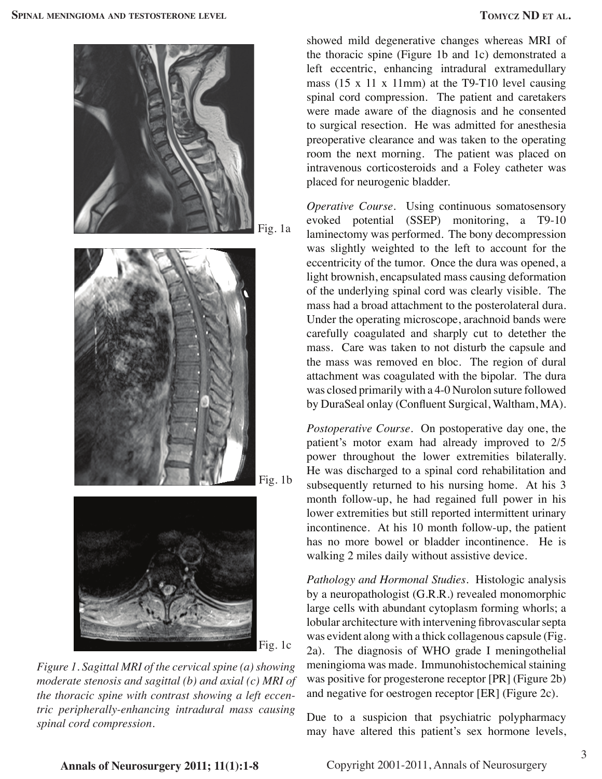



*Figure 1. Sagittal MRI of the cervical spine (a) showing moderate stenosis and sagittal (b) and axial (c) MRI of the thoracic spine with contrast showing a left eccentric peripherally-enhancing intradural mass causing spinal cord compression.*

showed mild degenerative changes whereas MRI of the thoracic spine (Figure 1b and 1c) demonstrated a left eccentric, enhancing intradural extramedullary mass (15 x 11 x 11mm) at the T9-T10 level causing spinal cord compression. The patient and caretakers were made aware of the diagnosis and he consented to surgical resection. He was admitted for anesthesia preoperative clearance and was taken to the operating room the next morning. The patient was placed on intravenous corticosteroids and a Foley catheter was placed for neurogenic bladder.

*Operative Course.* Using continuous somatosensory evoked potential (SSEP) monitoring, a T9-10 laminectomy was performed. The bony decompression was slightly weighted to the left to account for the eccentricity of the tumor. Once the dura was opened, a light brownish, encapsulated mass causing deformation of the underlying spinal cord was clearly visible. The mass had a broad attachment to the posterolateral dura. Under the operating microscope, arachnoid bands were carefully coagulated and sharply cut to detether the mass. Care was taken to not disturb the capsule and the mass was removed en bloc. The region of dural attachment was coagulated with the bipolar. The dura was closed primarily with a 4-0 Nurolon suture followed by DuraSeal onlay (Confluent Surgical, Waltham, MA).

*Postoperative Course.* On postoperative day one, the patient's motor exam had already improved to 2/5 power throughout the lower extremities bilaterally. He was discharged to a spinal cord rehabilitation and subsequently returned to his nursing home. At his 3 month follow-up, he had regained full power in his lower extremities but still reported intermittent urinary incontinence. At his 10 month follow-up, the patient has no more bowel or bladder incontinence. He is walking 2 miles daily without assistive device.

*Pathology and Hormonal Studies.* Histologic analysis by a neuropathologist (G.R.R.) revealed monomorphic large cells with abundant cytoplasm forming whorls; a lobular architecture with intervening fibrovascular septa was evident along with a thick collagenous capsule (Fig. 2a). The diagnosis of WHO grade I meningothelial meningioma was made. Immunohistochemical staining was positive for progesterone receptor [PR] (Figure 2b) and negative for oestrogen receptor [ER] (Figure 2c).

Due to a suspicion that psychiatric polypharmacy may have altered this patient's sex hormone levels,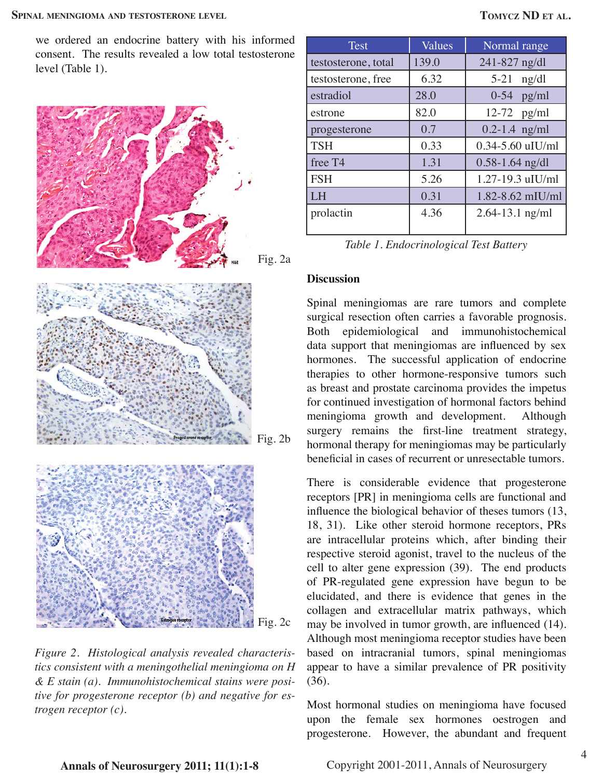we ordered an endocrine battery with his informed consent. The results revealed a low total testosterone level (Table 1).







*Figure 2. Histological analysis revealed characteristics consistent with a meningothelial meningioma on H & E stain (a). Immunohistochemical stains were positive for progesterone receptor (b) and negative for estrogen receptor (c).*

| <b>Test</b>         | Values | Normal range         |
|---------------------|--------|----------------------|
| testosterone, total | 139.0  | 241-827 ng/dl        |
| testosterone, free  | 6.32   | $5 - 21$<br>ng/dl    |
| estradiol           | 28.0   | $0-54$ pg/ml         |
| estrone             | 82.0   | $12-72$ pg/ml        |
| progesterone        | 0.7    | $0.2 - 1.4$ ng/ml    |
| <b>TSH</b>          | 0.33   | $0.34 - 5.60$ uIU/ml |
| free T <sub>4</sub> | 1.31   | $0.58 - 1.64$ ng/dl  |
| <b>FSH</b>          | 5.26   | 1.27-19.3 uIU/ml     |
| <b>LH</b>           | 0.31   | $1.82 - 8.62$ mIU/ml |
| prolactin           | 4.36   | $2.64 - 13.1$ ng/ml  |

| Table 1. Endocrinological Test Battery |  |
|----------------------------------------|--|
|----------------------------------------|--|

#### **Discussion**

Spinal meningiomas are rare tumors and complete surgical resection often carries a favorable prognosis. Both epidemiological and immunohistochemical data support that meningiomas are influenced by sex hormones. The successful application of endocrine therapies to other hormone-responsive tumors such as breast and prostate carcinoma provides the impetus for continued investigation of hormonal factors behind meningioma growth and development. Although surgery remains the first-line treatment strategy, hormonal therapy for meningiomas may be particularly beneficial in cases of recurrent or unresectable tumors.

There is considerable evidence that progesterone receptors [PR] in meningioma cells are functional and influence the biological behavior of theses tumors (13, 18, 31). Like other steroid hormone receptors, PRs are intracellular proteins which, after binding their respective steroid agonist, travel to the nucleus of the cell to alter gene expression (39). The end products of PR-regulated gene expression have begun to be elucidated, and there is evidence that genes in the collagen and extracellular matrix pathways, which may be involved in tumor growth, are influenced (14). Although most meningioma receptor studies have been based on intracranial tumors, spinal meningiomas appear to have a similar prevalence of PR positivity (36).

Most hormonal studies on meningioma have focused upon the female sex hormones oestrogen and progesterone. However, the abundant and frequent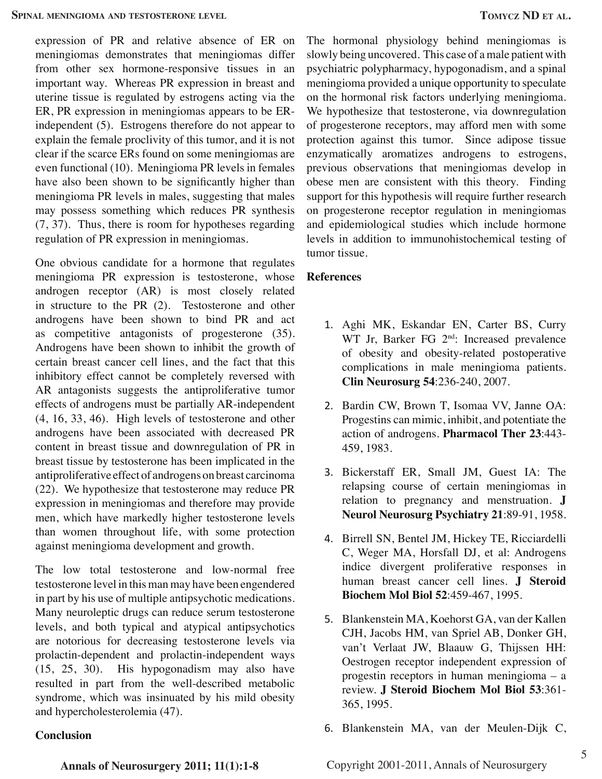expression of PR and relative absence of ER on meningiomas demonstrates that meningiomas differ from other sex hormone-responsive tissues in an important way. Whereas PR expression in breast and uterine tissue is regulated by estrogens acting via the ER, PR expression in meningiomas appears to be ERindependent (5). Estrogens therefore do not appear to explain the female proclivity of this tumor, and it is not clear if the scarce ERs found on some meningiomas are even functional (10). Meningioma PR levels in females have also been shown to be significantly higher than meningioma PR levels in males, suggesting that males may possess something which reduces PR synthesis (7, 37). Thus, there is room for hypotheses regarding regulation of PR expression in meningiomas.

One obvious candidate for a hormone that regulates meningioma PR expression is testosterone, whose androgen receptor (AR) is most closely related in structure to the PR (2). Testosterone and other androgens have been shown to bind PR and act as competitive antagonists of progesterone (35). Androgens have been shown to inhibit the growth of certain breast cancer cell lines, and the fact that this inhibitory effect cannot be completely reversed with AR antagonists suggests the antiproliferative tumor effects of androgens must be partially AR-independent (4, 16, 33, 46). High levels of testosterone and other androgens have been associated with decreased PR content in breast tissue and downregulation of PR in breast tissue by testosterone has been implicated in the antiproliferative effect of androgens on breast carcinoma (22). We hypothesize that testosterone may reduce PR expression in meningiomas and therefore may provide men, which have markedly higher testosterone levels than women throughout life, with some protection against meningioma development and growth.

The low total testosterone and low-normal free testosterone level in this man may have been engendered in part by his use of multiple antipsychotic medications. Many neuroleptic drugs can reduce serum testosterone levels, and both typical and atypical antipsychotics are notorious for decreasing testosterone levels via prolactin-dependent and prolactin-independent ways (15, 25, 30). His hypogonadism may also have resulted in part from the well-described metabolic syndrome, which was insinuated by his mild obesity and hypercholesterolemia (47).

### **Conclusion**

The hormonal physiology behind meningiomas is slowly being uncovered. This case of a male patient with psychiatric polypharmacy, hypogonadism, and a spinal meningioma provided a unique opportunity to speculate on the hormonal risk factors underlying meningioma. We hypothesize that testosterone, via downregulation of progesterone receptors, may afford men with some protection against this tumor. Since adipose tissue enzymatically aromatizes androgens to estrogens, previous observations that meningiomas develop in obese men are consistent with this theory. Finding support for this hypothesis will require further research on progesterone receptor regulation in meningiomas and epidemiological studies which include hormone levels in addition to immunohistochemical testing of tumor tissue.

### **References**

- 1. Aghi MK, Eskandar EN, Carter BS, Curry WT Jr, Barker FG 2<sup>nd</sup>: Increased prevalence of obesity and obesity-related postoperative complications in male meningioma patients. **Clin Neurosurg 54**:236-240, 2007.
- 2. Bardin CW, Brown T, Isomaa VV, Janne OA: Progestins can mimic, inhibit, and potentiate the action of androgens. **Pharmacol Ther 23**:443- 459, 1983.
- 3. Bickerstaff ER, Small JM, Guest IA: The relapsing course of certain meningiomas in relation to pregnancy and menstruation. **J Neurol Neurosurg Psychiatry 21**:89-91, 1958.
- 4. Birrell SN, Bentel JM, Hickey TE, Ricciardelli C, Weger MA, Horsfall DJ, et al: Androgens indice divergent proliferative responses in human breast cancer cell lines. **J Steroid Biochem Mol Biol 52**:459-467, 1995.
- 5. Blankenstein MA, Koehorst GA, van der Kallen CJH, Jacobs HM, van Spriel AB, Donker GH, van't Verlaat JW, Blaauw G, Thijssen HH: Oestrogen receptor independent expression of progestin receptors in human meningioma – a review. **J Steroid Biochem Mol Biol 53**:361- 365, 1995.
- 6. Blankenstein MA, van der Meulen-Dijk C,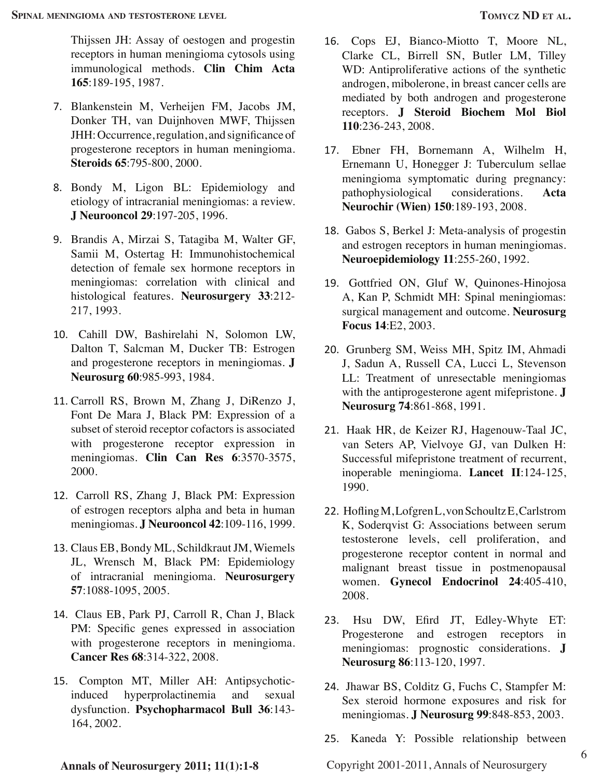Thijssen JH: Assay of oestogen and progestin receptors in human meningioma cytosols using immunological methods. **Clin Chim Acta 165**:189-195, 1987.

- 7. Blankenstein M, Verheijen FM, Jacobs JM, Donker TH, van Duijnhoven MWF, Thijssen JHH: Occurrence, regulation, and significance of progesterone receptors in human meningioma. **Steroids 65**:795-800, 2000.
- 8. Bondy M, Ligon BL: Epidemiology and etiology of intracranial meningiomas: a review. **J Neurooncol 29**:197-205, 1996.
- 9. Brandis A, Mirzai S, Tatagiba M, Walter GF, Samii M, Ostertag H: Immunohistochemical detection of female sex hormone receptors in meningiomas: correlation with clinical and histological features. **Neurosurgery 33**:212- 217, 1993.
- 10. Cahill DW, Bashirelahi N, Solomon LW, Dalton T, Salcman M, Ducker TB: Estrogen and progesterone receptors in meningiomas. **J Neurosurg 60**:985-993, 1984.
- 11. Carroll RS, Brown M, Zhang J, DiRenzo J, Font De Mara J, Black PM: Expression of a subset of steroid receptor cofactors is associated with progesterone receptor expression in meningiomas. **Clin Can Res 6**:3570-3575, 2000.
- 12. Carroll RS, Zhang J, Black PM: Expression of estrogen receptors alpha and beta in human meningiomas. **J Neurooncol 42**:109-116, 1999.
- 13. Claus EB, Bondy ML, Schildkraut JM, Wiemels JL, Wrensch M, Black PM: Epidemiology of intracranial meningioma. **Neurosurgery 57**:1088-1095, 2005.
- 14. Claus EB, Park PJ, Carroll R, Chan J, Black PM: Specific genes expressed in association with progesterone receptors in meningioma. **Cancer Res 68**:314-322, 2008.
- 15. Compton MT, Miller AH: Antipsychoticinduced hyperprolactinemia and sexual dysfunction. **Psychopharmacol Bull 36**:143- 164, 2002.
- 16. Cops EJ, Bianco-Miotto T, Moore NL, Clarke CL, Birrell SN, Butler LM, Tilley WD: Antiproliferative actions of the synthetic androgen, mibolerone, in breast cancer cells are mediated by both androgen and progesterone receptors. **J Steroid Biochem Mol Biol 110**:236-243, 2008.
- 17. Ebner FH, Bornemann A, Wilhelm H, Ernemann U, Honegger J: Tuberculum sellae meningioma symptomatic during pregnancy: pathophysiological considerations. **Acta Neurochir (Wien) 150**:189-193, 2008.
- 18. Gabos S, Berkel J: Meta-analysis of progestin and estrogen receptors in human meningiomas. **Neuroepidemiology 11**:255-260, 1992.
- 19. Gottfried ON, Gluf W, Quinones-Hinojosa A, Kan P, Schmidt MH: Spinal meningiomas: surgical management and outcome. **Neurosurg Focus 14**:E2, 2003.
- 20. Grunberg SM, Weiss MH, Spitz IM, Ahmadi J, Sadun A, Russell CA, Lucci L, Stevenson LL: Treatment of unresectable meningiomas with the antiprogesterone agent mifepristone. **J Neurosurg 74**:861-868, 1991.
- 21. Haak HR, de Keizer RJ, Hagenouw-Taal JC, van Seters AP, Vielvoye GJ, van Dulken H: Successful mifepristone treatment of recurrent, inoperable meningioma. **Lancet II**:124-125, 1990.
- 22. Hofling M, Lofgren L, von Schoultz E, Carlstrom K, Soderqvist G: Associations between serum testosterone levels, cell proliferation, and progesterone receptor content in normal and malignant breast tissue in postmenopausal women. **Gynecol Endocrinol 24**:405-410, 2008.
- 23. Hsu DW, Efird JT, Edley-Whyte ET: Progesterone and estrogen receptors in meningiomas: prognostic considerations. **J Neurosurg 86**:113-120, 1997.
- 24. Jhawar BS, Colditz G, Fuchs C, Stampfer M: Sex steroid hormone exposures and risk for meningiomas. **J Neurosurg 99**:848-853, 2003.
- 25. Kaneda Y: Possible relationship between

Copyright 2001-2011, Annals of Neurosurgery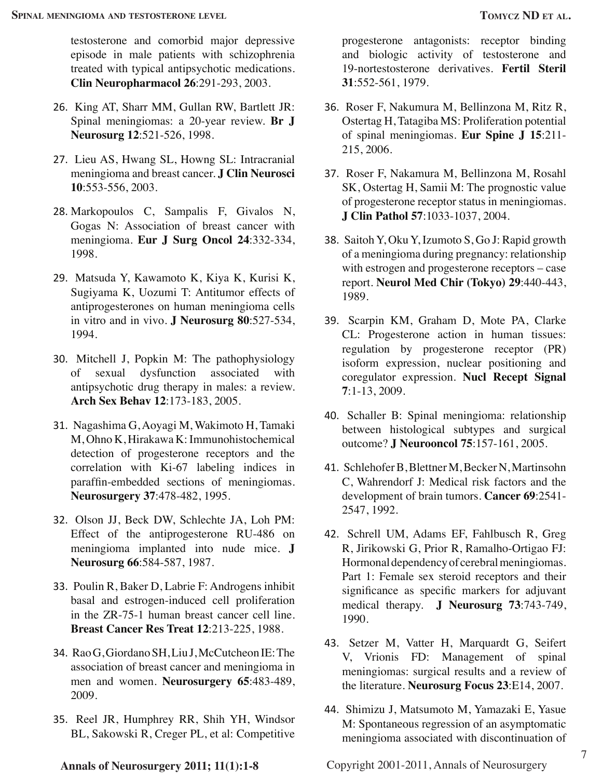testosterone and comorbid major depressive episode in male patients with schizophrenia treated with typical antipsychotic medications. **Clin Neuropharmacol 26**:291-293, 2003.

- 26. King AT, Sharr MM, Gullan RW, Bartlett JR: Spinal meningiomas: a 20-year review. **Br J Neurosurg 12**:521-526, 1998.
- 27. Lieu AS, Hwang SL, Howng SL: Intracranial meningioma and breast cancer. **J Clin Neurosci 10**:553-556, 2003.
- 28. Markopoulos C, Sampalis F, Givalos N, Gogas N: Association of breast cancer with meningioma. **Eur J Surg Oncol 24**:332-334, 1998.
- 29. Matsuda Y, Kawamoto K, Kiya K, Kurisi K, Sugiyama K, Uozumi T: Antitumor effects of antiprogesterones on human meningioma cells in vitro and in vivo. **J Neurosurg 80**:527-534, 1994.
- 30. Mitchell J, Popkin M: The pathophysiology of sexual dysfunction associated with antipsychotic drug therapy in males: a review. **Arch Sex Behav 12**:173-183, 2005.
- 31. Nagashima G, Aoyagi M, Wakimoto H, Tamaki M, Ohno K, Hirakawa K: Immunohistochemical detection of progesterone receptors and the correlation with Ki-67 labeling indices in paraffin-embedded sections of meningiomas. **Neurosurgery 37**:478-482, 1995.
- 32. Olson JJ, Beck DW, Schlechte JA, Loh PM: Effect of the antiprogesterone RU-486 on meningioma implanted into nude mice. **J Neurosurg 66**:584-587, 1987.
- 33. Poulin R, Baker D, Labrie F: Androgens inhibit basal and estrogen-induced cell proliferation in the ZR-75-1 human breast cancer cell line. **Breast Cancer Res Treat 12**:213-225, 1988.
- 34. Rao G, Giordano SH, Liu J, McCutcheon IE: The association of breast cancer and meningioma in men and women. **Neurosurgery 65**:483-489, 2009.
- 35. Reel JR, Humphrey RR, Shih YH, Windsor BL, Sakowski R, Creger PL, et al: Competitive

progesterone antagonists: receptor binding and biologic activity of testosterone and 19-nortestosterone derivatives. **Fertil Steril 31**:552-561, 1979.

- 36. Roser F, Nakumura M, Bellinzona M, Ritz R, Ostertag H, Tatagiba MS: Proliferation potential of spinal meningiomas. **Eur Spine J 15**:211- 215, 2006.
- 37. Roser F, Nakamura M, Bellinzona M, Rosahl SK, Ostertag H, Samii M: The prognostic value of progesterone receptor status in meningiomas. **J Clin Pathol 57**:1033-1037, 2004.
- 38. Saitoh Y, Oku Y, Izumoto S, Go J: Rapid growth of a meningioma during pregnancy: relationship with estrogen and progesterone receptors – case report. **Neurol Med Chir (Tokyo) 29**:440-443, 1989.
- 39. Scarpin KM, Graham D, Mote PA, Clarke CL: Progesterone action in human tissues: regulation by progesterone receptor (PR) isoform expression, nuclear positioning and coregulator expression. **Nucl Recept Signal 7**:1-13, 2009.
- 40. Schaller B: Spinal meningioma: relationship between histological subtypes and surgical outcome? **J Neurooncol 75**:157-161, 2005.
- 41. Schlehofer B, Blettner M, Becker N, Martinsohn C, Wahrendorf J: Medical risk factors and the development of brain tumors. **Cancer 69**:2541- 2547, 1992.
- 42. Schrell UM, Adams EF, Fahlbusch R, Greg R, Jirikowski G, Prior R, Ramalho-Ortigao FJ: Hormonal dependency of cerebral meningiomas. Part 1: Female sex steroid receptors and their significance as specific markers for adjuvant medical therapy. **J Neurosurg 73**:743-749, 1990.
- 43. Setzer M, Vatter H, Marquardt G, Seifert V, Vrionis FD: Management of spinal meningiomas: surgical results and a review of the literature. **Neurosurg Focus 23**:E14, 2007.
- 44. Shimizu J, Matsumoto M, Yamazaki E, Yasue M: Spontaneous regression of an asymptomatic meningioma associated with discontinuation of

Copyright 2001-2011, Annals of Neurosurgery